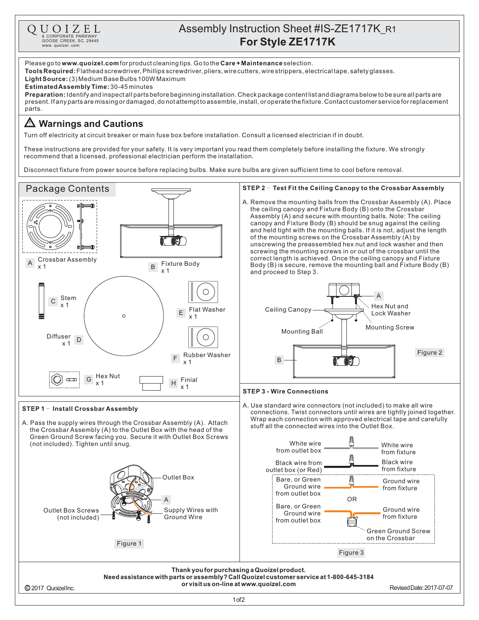

## Assembly Instruction Sheet #IS-ZE1717K\_R1 **CORPORATE PARKWAY**<br> **For Style ZE1717K** 600SE CREEK, SC.29445<br>
WWW.quoizel.com